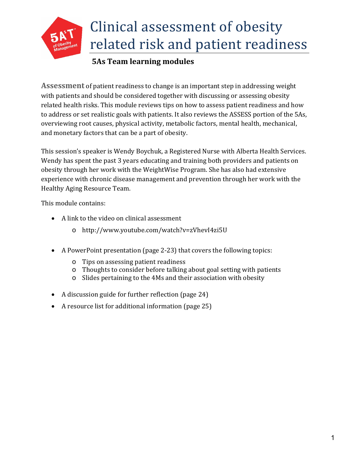

#### Clinical assessment of obesity related risk and patient readiness

#### **5As Team learning modules**

**Assessment** of patient readiness to change is an important step in addressing weight with patients and should be considered together with discussing or assessing obesity related health risks. This module reviews tips on how to assess patient readiness and how to address or set realistic goals with patients. It also reviews the ASSESS portion of the 5As, overviewing root causes, physical activity, metabolic factors, mental health, mechanical, and monetary factors that can be a part of obesity.

This session's speaker is Wendy Boychuk, a Registered Nurse with Alberta Health Services. Wendy has spent the past 3 years educating and training both providers and patients on obesity through her work with the WeightWise Program. She has also had extensive experience with chronic disease management and prevention through her work with the Healthy Aging Resource Team.

This module contains:

- A link to the video on clinical assessment
	- o http://www.youtube.com/watch?v=zVhevI4zi5U
- A PowerPoint presentation (page 2-23) that covers the following topics:
	- o Tips on assessing patient readiness
	- o Thoughts to consider before talking about goal setting with patients
	- o Slides pertaining to the 4Ms and their association with obesity
- A discussion guide for further reflection (page 24)
- A resource list for additional information (page 25)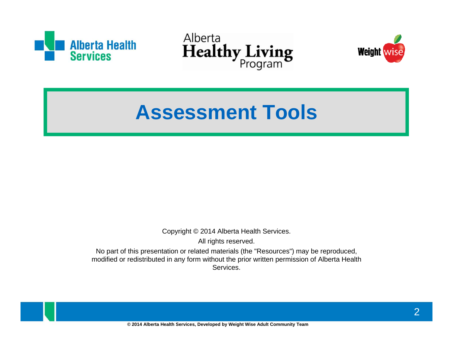





### **Assessment Tools**

Copyright © 2014 Alberta Health Services.

All rights reserved.

No part of this presentation or related materials (the "Resources") may be reproduced, modified or redistributed in any form without the prior written permission of Alberta Health Services.

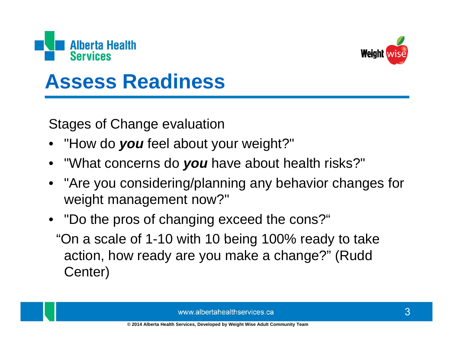



### **Assess Readiness**

**Stages of Change evaluation** 

- "How do you feel about your weight?"
- "What concerns do you have about health risks?"
- "Are you considering/planning any behavior changes for weight management now?"
- "Do the pros of changing exceed the cons?" "On a scale of 1-10 with 10 being 100% ready to take action, how ready are you make a change?" (Rudd Center)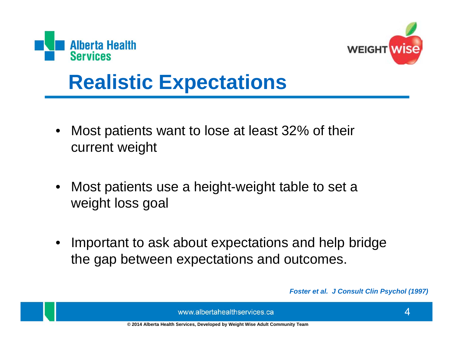



### **Realistic Expectations**

- Most patients want to lose at least 32% of their current weight
- Most patients use a height-weight table to set a weight loss goal
- Important to ask about expectations and help bridge the gap between expectations and outcomes.

Foster et al. J Consult Clin Psychol (1997)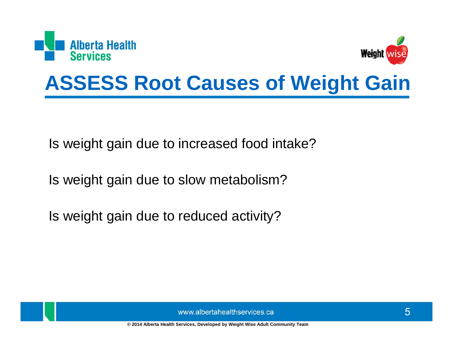



### **ASSESS Root Causes of Weight Gain**

Is weight gain due to increased food intake?

Is weight gain due to slow metabolism?

Is weight gain due to reduced activity?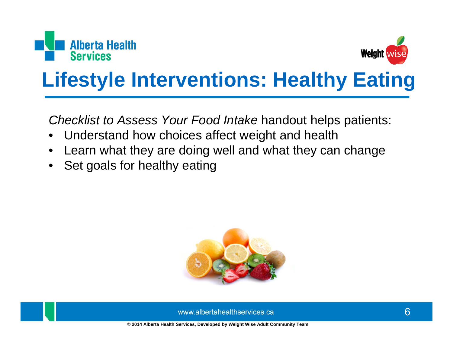



# **Lifestyle Interventions: Healthy Eating**

Checklist to Assess Your Food Intake handout helps patients:

- Understand how choices affect weight and health  $\bullet$
- Learn what they are doing well and what they can change
- Set goals for healthy eating

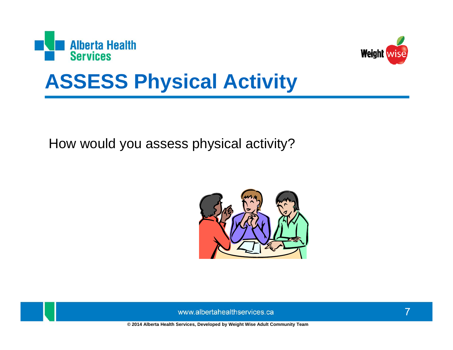



### **ASSESS Physical Activity**

How would you assess physical activity?

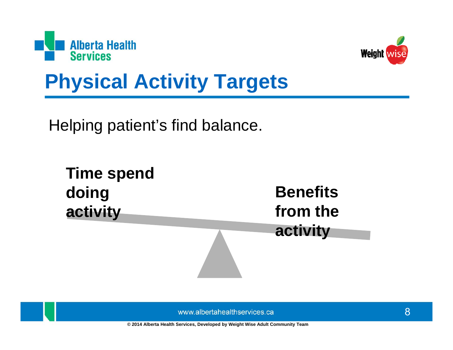



## **Physical Activity Targets**

Helping patient's find balance.

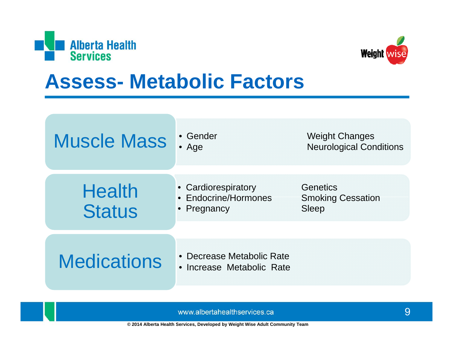



#### **Assess- Metabolic Factors**

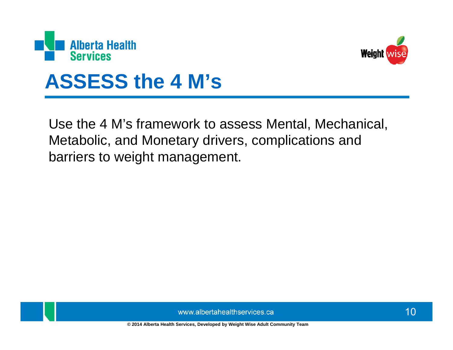



#### **ASSESS the 4 M's**

Use the 4 M's framework to assess Mental, Mechanical, Metabolic, and Monetary drivers, complications and barriers to weight management.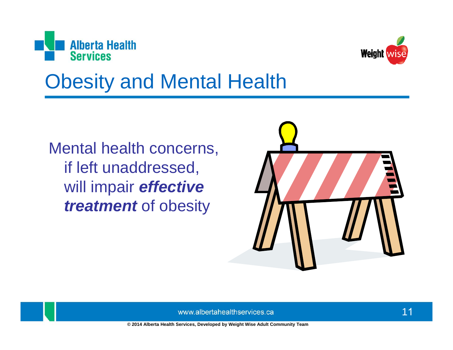



## **Obesity and Mental Health**

Mental health concerns, if left unaddressed, will impair effective treatment of obesity

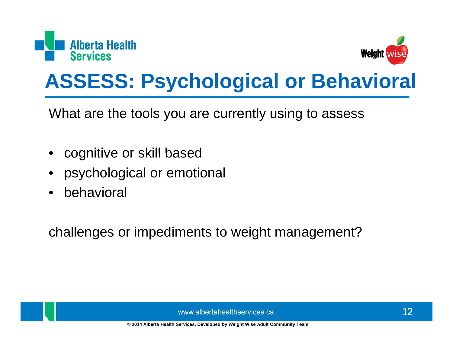



## **ASSESS: Psychological or Behavioral**

What are the tools you are currently using to assess

- cognitive or skill based
- psychological or emotional
- behavioral

challenges or impediments to weight management?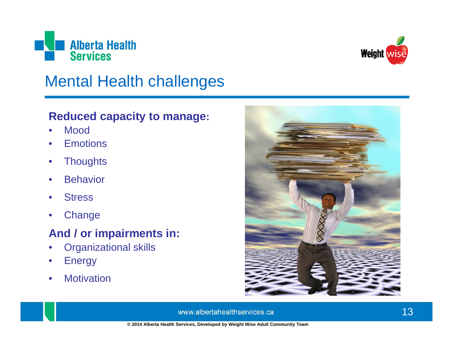



#### **Mental Health challenges**

#### **Reduced capacity to manage:**

- **Mood**  $\bullet$
- **Emotions**
- **Thoughts**  $\bullet$
- **Behavior**  $\bullet$
- **Stress**
- Change  $\bullet$

#### And / or impairments in:

- **Organizational skills**  $\bullet$
- **Energy**  $\bullet$
- **Motivation**  $\bullet$

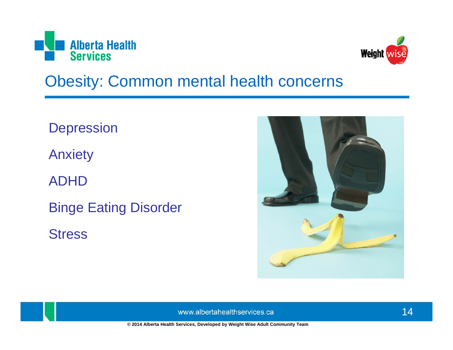



#### **Obesity: Common mental health concerns**

**Depression Anxiety ADHD Binge Eating Disorder Stress** 

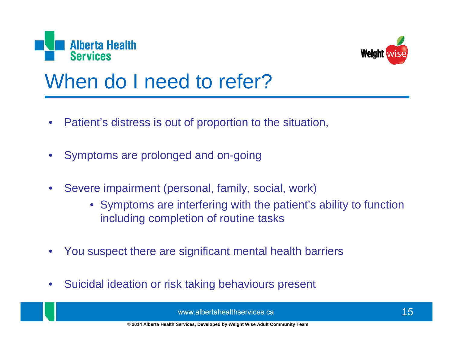



### When do I need to refer?

- Patient's distress is out of proportion to the situation,
- Symptoms are prolonged and on-going
- Severe impairment (personal, family, social, work)
	- Symptoms are interfering with the patient's ability to function including completion of routine tasks
- You suspect there are significant mental health barriers
- Suicidal ideation or risk taking behaviours present  $\bullet$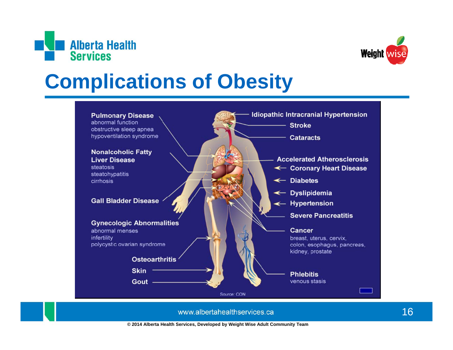



## **Complications of Obesity**

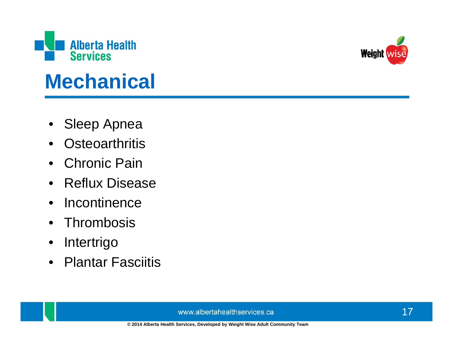

## **Mechanical**

- **Sleep Apnea**
- **Osteoarthritis**  $\bullet$
- **Chronic Pain**  $\bullet$
- **Reflux Disease**  $\bullet$
- Incontinence  $\bullet$
- Thrombosis
- Intertrigo  $\bullet$
- **Plantar Fasciitis**  $\bullet$

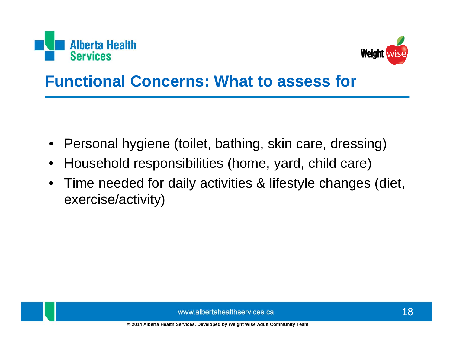



#### **Functional Concerns: What to assess for**

- Personal hygiene (toilet, bathing, skin care, dressing)  $\bullet$
- Household responsibilities (home, yard, child care)  $\bullet$
- Time needed for daily activities & lifestyle changes (diet,  $\bullet$ exercise/activity)

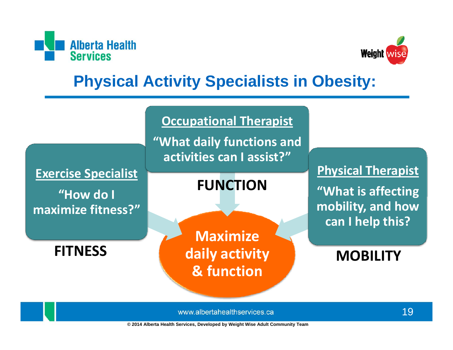



#### **Physical Activity Specialists in Obesity:**



www.albertahealthservices.ca

© 2014 Alberta Health Services, Developed by Weight Wise Adult Community Team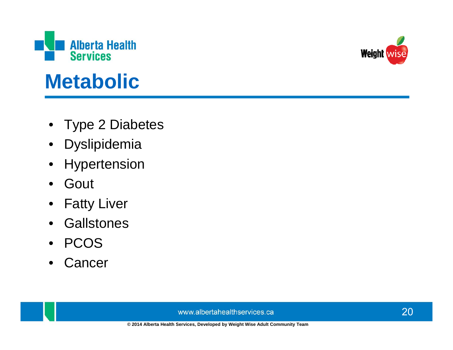

### **Metabolic**

- Type 2 Diabetes
- Dyslipidemia  $\bullet$
- Hypertension  $\bullet$
- Gout  $\bullet$
- Fatty Liver
- **Gallstones**  $\bullet$
- PCOS  $\bullet$
- Cancer  $\bullet$

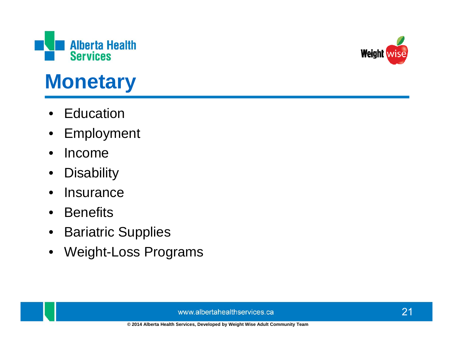

# **Monetary**

- Education
- Employment  $\bullet$
- Income  $\bullet$
- **Disability**  $\bullet$
- **Insurance**  $\bullet$
- **Benefits**  $\bullet$
- **Bariatric Supplies**  $\bullet$
- **Weight-Loss Programs**  $\bullet$

www.albertahealthservices.ca



© 2014 Alberta Health Services, Developed by Weight Wise Adult Community Team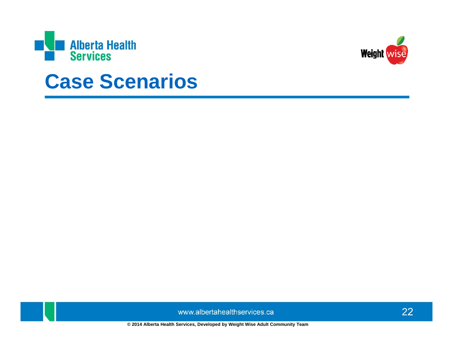



#### **Case Scenarios**

www.albertahealthservices.ca

© 2014 Alberta Health Services, Developed by Weight Wise Adult Community Team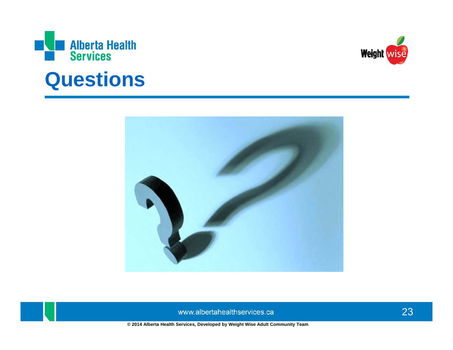

#### **Questions**



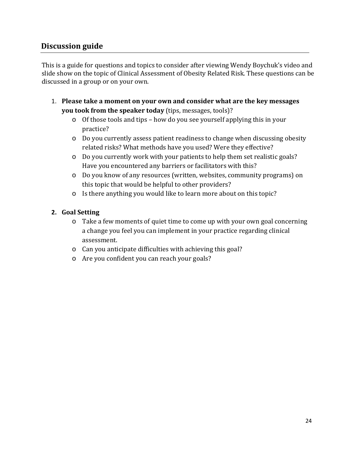#### **Discussion guide**

This is a guide for questions and topics to consider after viewing Wendy Boychuk's video and slide show on the topic of Clinical Assessment of Obesity Related Risk. These questions can be discussed in a group or on your own.

- 1. **Please take a moment on your own and consider what are the key messages you took from the speaker today** (tips, messages, tools)?
	- o Of those tools and tips how do you see yourself applying this in your practice?
	- o Do you currently assess patient readiness to change when discussing obesity related risks? What methods have you used? Were they effective?
	- o Do you currently work with your patients to help them set realistic goals? Have you encountered any barriers or facilitators with this?
	- o Do you know of any resources (written, websites, community programs) on this topic that would be helpful to other providers?
	- o Is there anything you would like to learn more about on this topic?

#### **2. Goal Setting**

- o Take a few moments of quiet time to come up with your own goal concerning a change you feel you can implement in your practice regarding clinical assessment.
- o Can you anticipate difficulties with achieving this goal?
- o Are you confident you can reach your goals?